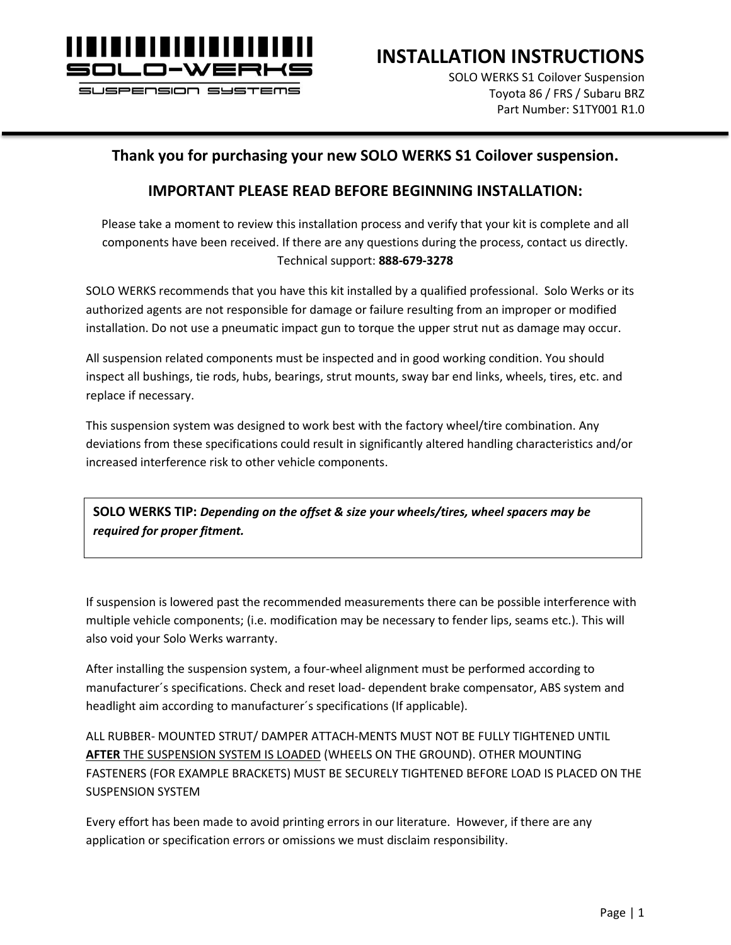

SI ISPENSION SYSTEMS

**INSTALLATION INSTRUCTIONS**

SOLO WERKS S1 Coilover Suspension Toyota 86 / FRS / Subaru BRZ Part Number: S1TY001 R1.0

#### **Thank you for purchasing your new SOLO WERKS S1 Coilover suspension.**

#### **IMPORTANT PLEASE READ BEFORE BEGINNING INSTALLATION:**

Please take a moment to review this installation process and verify that your kit is complete and all components have been received. If there are any questions during the process, contact us directly. Technical support: **888-679-3278**

SOLO WERKS recommends that you have this kit installed by a qualified professional. Solo Werks or its authorized agents are not responsible for damage or failure resulting from an improper or modified installation. Do not use a pneumatic impact gun to torque the upper strut nut as damage may occur.

All suspension related components must be inspected and in good working condition. You should inspect all bushings, tie rods, hubs, bearings, strut mounts, sway bar end links, wheels, tires, etc. and replace if necessary.

This suspension system was designed to work best with the factory wheel/tire combination. Any deviations from these specifications could result in significantly altered handling characteristics and/or increased interference risk to other vehicle components.

**SOLO WERKS TIP:** *Depending on the offset & size your wheels/tires, wheel spacers may be required for proper fitment.*

If suspension is lowered past the recommended measurements there can be possible interference with multiple vehicle components; (i.e. modification may be necessary to fender lips, seams etc.). This will also void your Solo Werks warranty.

After installing the suspension system, a four-wheel alignment must be performed according to manufacturer´s specifications. Check and reset load- dependent brake compensator, ABS system and headlight aim according to manufacturer´s specifications (If applicable).

ALL RUBBER- MOUNTED STRUT/ DAMPER ATTACH-MENTS MUST NOT BE FULLY TIGHTENED UNTIL **AFTER** THE SUSPENSION SYSTEM IS LOADED (WHEELS ON THE GROUND). OTHER MOUNTING FASTENERS (FOR EXAMPLE BRACKETS) MUST BE SECURELY TIGHTENED BEFORE LOAD IS PLACED ON THE SUSPENSION SYSTEM

Every effort has been made to avoid printing errors in our literature. However, if there are any application or specification errors or omissions we must disclaim responsibility.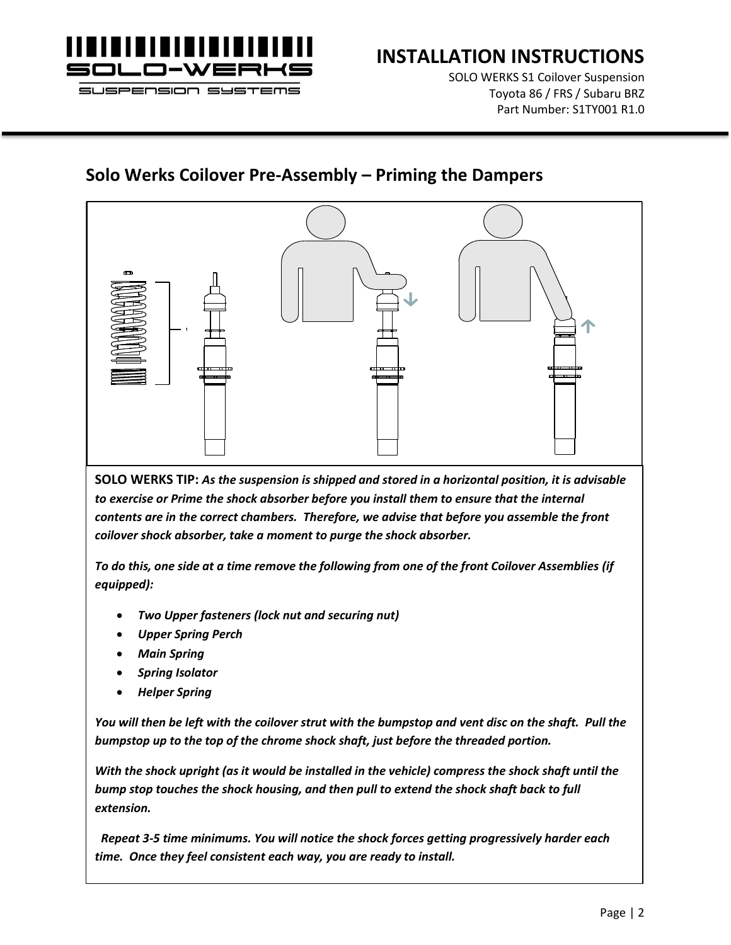

# **INSTALLATION INSTRUCTIONS**

SOLO WERKS S1 Coilover Suspension Toyota 86 / FRS / Subaru BRZ Part Number: S1TY001 R1.0

#### **Solo Werks Coilover Pre-Assembly – Priming the Dampers**



**SOLO WERKS TIP:** *As the suspension is shipped and stored in a horizontal position, it is advisable to exercise or Prime the shock absorber before you install them to ensure that the internal contents are in the correct chambers. Therefore, we advise that before you assemble the front coilover shock absorber, take a moment to purge the shock absorber.* 

*To do this, one side at a time remove the following from one of the front Coilover Assemblies (if equipped):*

- *Two Upper fasteners (lock nut and securing nut)*
- *Upper Spring Perch*
- *Main Spring*
- *Spring Isolator*
- *Helper Spring*

*You will then be left with the coilover strut with the bumpstop and vent disc on the shaft. Pull the bumpstop up to the top of the chrome shock shaft, just before the threaded portion.* 

*With the shock upright (as it would be installed in the vehicle) compress the shock shaft until the bump stop touches the shock housing, and then pull to extend the shock shaft back to full extension.*

 *Repeat 3-5 time minimums. You will notice the shock forces getting progressively harder each time. Once they feel consistent each way, you are ready to install.*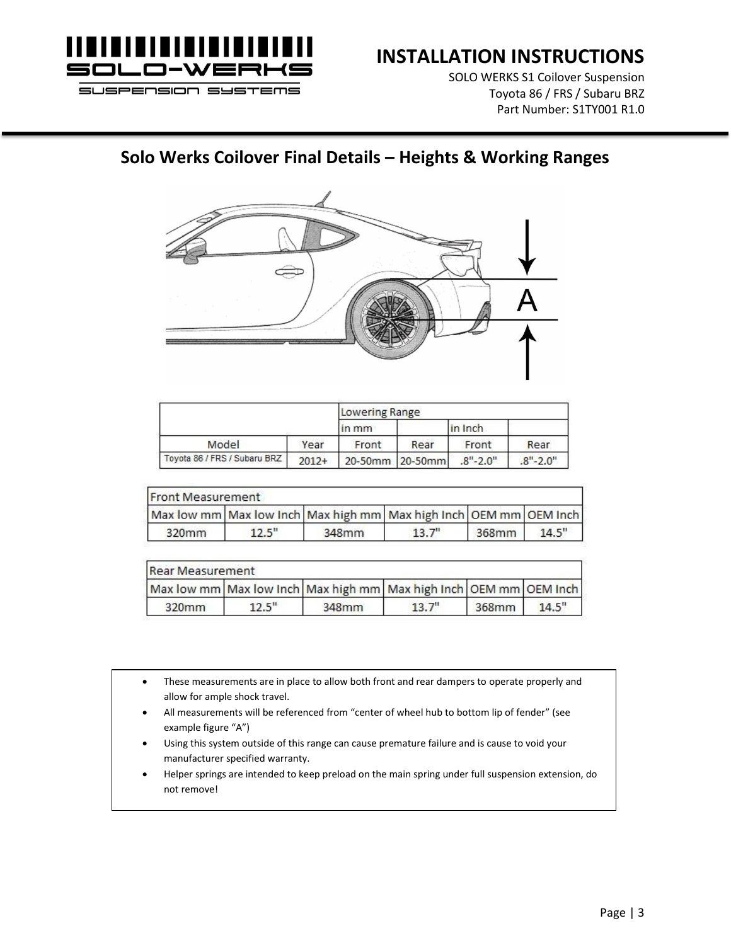

### **INSTALLATION INSTRUCTIONS**

SOLO WERKS S1 Coilover Suspension Toyota 86 / FRS / Subaru BRZ Part Number: S1TY001 R1.0

### **Solo Werks Coilover Final Details – Heights & Working Ranges**



|                              |         | Lowering Range  |      |              |              |  |
|------------------------------|---------|-----------------|------|--------------|--------------|--|
|                              |         | in mm           |      | in Inch      |              |  |
| Model                        | Year    | Front           | Rear | Front        | Rear         |  |
| Toyota 86 / FRS / Subaru BRZ | $2012+$ | 20-50mm 20-50mm |      | $.8" - 2.0"$ | $.8" - 2.0"$ |  |

| Front Measurement |       |       |                                                                   |       |       |  |  |
|-------------------|-------|-------|-------------------------------------------------------------------|-------|-------|--|--|
|                   |       |       | Max low mm Max low Inch Max high mm Max high Inch OEM mm OEM Inch |       |       |  |  |
| 320mm             | 12.5" | 348mm | 13.7"                                                             | 368mm | 14.5" |  |  |

| Rear Measurement |       |       |                                                                   |       |       |  |  |
|------------------|-------|-------|-------------------------------------------------------------------|-------|-------|--|--|
|                  |       |       | Max low mm Max low Inch Max high mm Max high Inch OEM mm OEM Inch |       |       |  |  |
| 320mm            | 12.5" | 348mm | 13.7"                                                             | 368mm | 14.5" |  |  |

- These measurements are in place to allow both front and rear dampers to operate properly and allow for ample shock travel.
- All measurements will be referenced from "center of wheel hub to bottom lip of fender" (see example figure "A")
- Using this system outside of this range can cause premature failure and is cause to void your manufacturer specified warranty.
- Helper springs are intended to keep preload on the main spring under full suspension extension, do not remove!